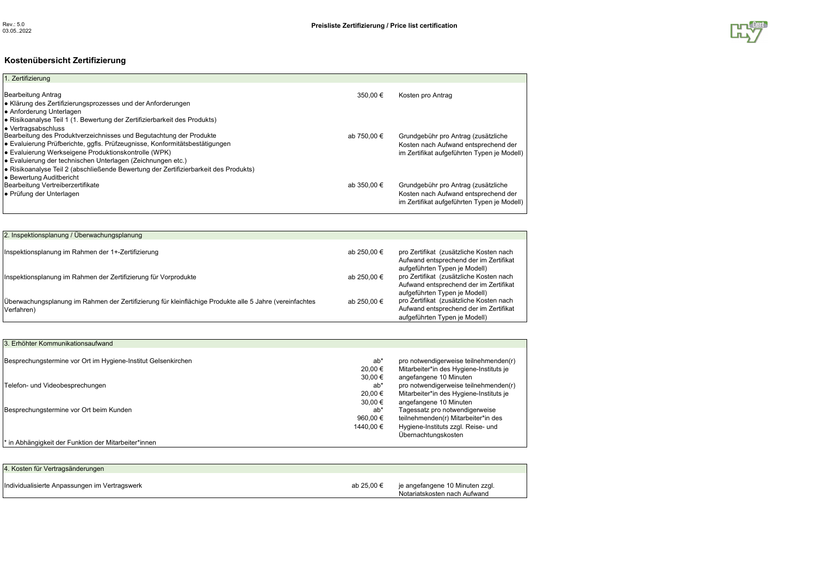

## **Kostenübersicht Zertifizierung**

| 1. Zertifizierung                                                                                                                                                                                                                                                                                                                                                                                                  |             |                                                                                                                            |
|--------------------------------------------------------------------------------------------------------------------------------------------------------------------------------------------------------------------------------------------------------------------------------------------------------------------------------------------------------------------------------------------------------------------|-------------|----------------------------------------------------------------------------------------------------------------------------|
| Bearbeitung Antrag<br>• Klärung des Zertifizierungsprozesses und der Anforderungen<br>• Anforderung Unterlagen<br>• Risikoanalyse Teil 1 (1. Bewertung der Zertifizierbarkeit des Produkts)                                                                                                                                                                                                                        | 350.00 €    | Kosten pro Antrag                                                                                                          |
| • Vertragsabschluss<br>Bearbeitung des Produktverzeichnisses und Begutachtung der Produkte<br>e Evaluierung Prüfberichte, ggfls. Prüfzeugnisse, Konformitätsbestätigungen<br>• Evaluierung Werkseigene Produktionskontrolle (WPK)<br>• Evaluierung der technischen Unterlagen (Zeichnungen etc.)<br>Risikoanalyse Teil 2 (abschließende Bewertung der Zertifizierbarkeit des Produkts)<br>■ Bewertung Auditbericht | ab 750.00 € | Grundgebühr pro Antrag (zusätzliche<br>Kosten nach Aufwand entsprechend der<br>im Zertifikat aufgeführten Typen je Modell) |
| Bearbeitung Vertreiberzertifikate<br>• Prüfung der Unterlagen                                                                                                                                                                                                                                                                                                                                                      | ab 350.00 € | Grundgebühr pro Antrag (zusätzliche<br>Kosten nach Aufwand entsprechend der<br>im Zertifikat aufgeführten Typen je Modell) |

| 2. Inspektionsplanung / Überwachungsplanung                                                                           |             |                                                                                                                                                     |
|-----------------------------------------------------------------------------------------------------------------------|-------------|-----------------------------------------------------------------------------------------------------------------------------------------------------|
| Inspektionsplanung im Rahmen der 1+-Zertifizierung                                                                    | ab 250.00 € | pro Zertifikat (zusätzliche Kosten nach<br>Aufwand entsprechend der im Zertifikat                                                                   |
| Inspektionsplanung im Rahmen der Zertifizierung für Vorprodukte                                                       | ab 250.00 € | aufgeführten Typen je Modell)<br>pro Zertifikat (zusätzliche Kosten nach<br>Aufwand entsprechend der im Zertifikat                                  |
| Überwachungsplanung im Rahmen der Zertifizierung für kleinflächige Produkte alle 5 Jahre (vereinfachtes<br>Verfahren) | ab 250.00 € | aufgeführten Typen je Modell)<br>pro Zertifikat (zusätzliche Kosten nach<br>Aufwand entsprechend der im Zertifikat<br>aufgeführten Typen je Modell) |

| Besprechungstermine vor Ort im Hygiene-Institut Gelsenkirchen | ab*       | pro notwendigerweise teilnehmenden(r)   |
|---------------------------------------------------------------|-----------|-----------------------------------------|
|                                                               | 20.00 €   | Mitarbeiter*in des Hygiene-Instituts je |
|                                                               | 30.00 €   | angefangene 10 Minuten                  |
| Telefon- und Videobesprechungen                               | ab*       | pro notwendigerweise teilnehmenden(r)   |
|                                                               | 20.00 €   | Mitarbeiter*in des Hygiene-Instituts je |
|                                                               | 30.00 €   | angefangene 10 Minuten                  |
| Besprechungstermine vor Ort beim Kunden                       | ab*       | Tagessatz pro notwendigerweise          |
|                                                               | 960.00 €  | teilnehmenden(r) Mitarbeiter*in des     |
|                                                               | 1440.00 € | Hygiene-Instituts zzgl. Reise- und      |
|                                                               |           | Übernachtungskosten                     |
| * in Abhängigkeit der Funktion der Mitarbeiter*innen          |           |                                         |

| 4. Kosten für Vertragsänderungen              |            |                                                                 |
|-----------------------------------------------|------------|-----------------------------------------------------------------|
| Individualisierte Anpassungen im Vertragswerk | ab 25.00 € | je angefangene 10 Minuten zzgl.<br>Notariatskosten nach Aufwand |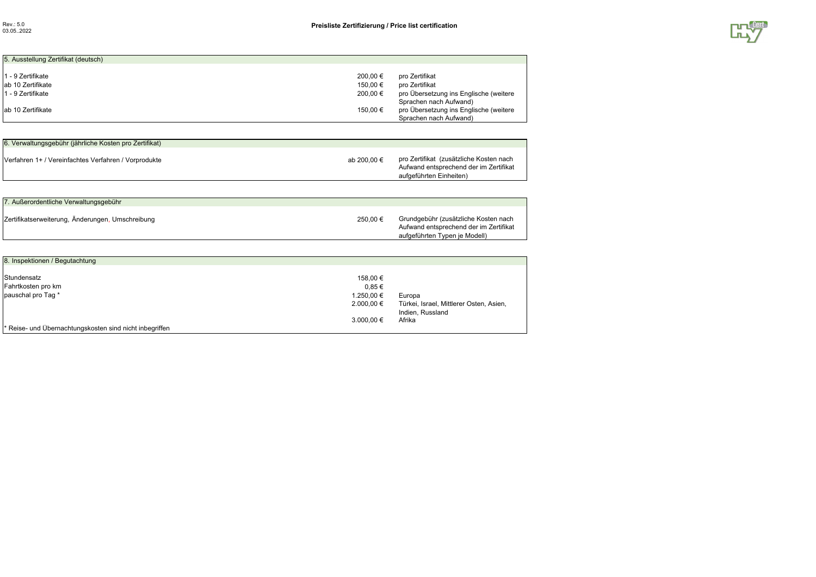

| 5. Ausstellung Zertifikat (deutsch)    |                      |                                                                                            |
|----------------------------------------|----------------------|--------------------------------------------------------------------------------------------|
| 1 - 9 Zertifikate<br>ab 10 Zertifikate | 200.00 €<br>150.00 € | pro Zertifikat<br>pro Zertifikat                                                           |
| 1 - 9 Zertifikate                      | 200.00 €             | pro Übersetzung ins Englische (weitere                                                     |
| lab 10 Zertifikate                     | 150.00 €             | Sprachen nach Aufwand)<br>pro Übersetzung ins Englische (weitere<br>Sprachen nach Aufwand) |

| 6. Verwaltungsgebühr (jährliche Kosten pro Zertifikat) |             |                                                                                                              |
|--------------------------------------------------------|-------------|--------------------------------------------------------------------------------------------------------------|
| Verfahren 1+ / Vereinfachtes Verfahren / Vorprodukte   | ab 200.00 € | pro Zertifikat (zusätzliche Kosten nach<br>Aufwand entsprechend der im Zertifikat<br>aufgeführten Einheiten) |

| 7. Außerordentliche Verwaltungsgebühr            |          |                                                                                                                 |
|--------------------------------------------------|----------|-----------------------------------------------------------------------------------------------------------------|
| Zertifikatserweiterung, Änderungen, Umschreibung | 250.00 € | Grundgebühr (zusätzliche Kosten nach<br>Aufwand entsprechend der im Zertifikat<br>aufgeführten Typen je Modell) |

| 8. Inspektionen / Begutachtung                          |            |                                         |
|---------------------------------------------------------|------------|-----------------------------------------|
|                                                         |            |                                         |
| Stundensatz                                             | 158.00 €   |                                         |
| Fahrtkosten pro km                                      | $0.85 \in$ |                                         |
| pauschal pro Tag *                                      | 1.250.00 € | Europa                                  |
|                                                         | 2.000,00 € | Türkei, Israel, Mittlerer Osten, Asien, |
|                                                         |            | Indien, Russland                        |
|                                                         | 3.000.00 € | Afrika                                  |
| * Reise- und Übernachtungskosten sind nicht inbegriffen |            |                                         |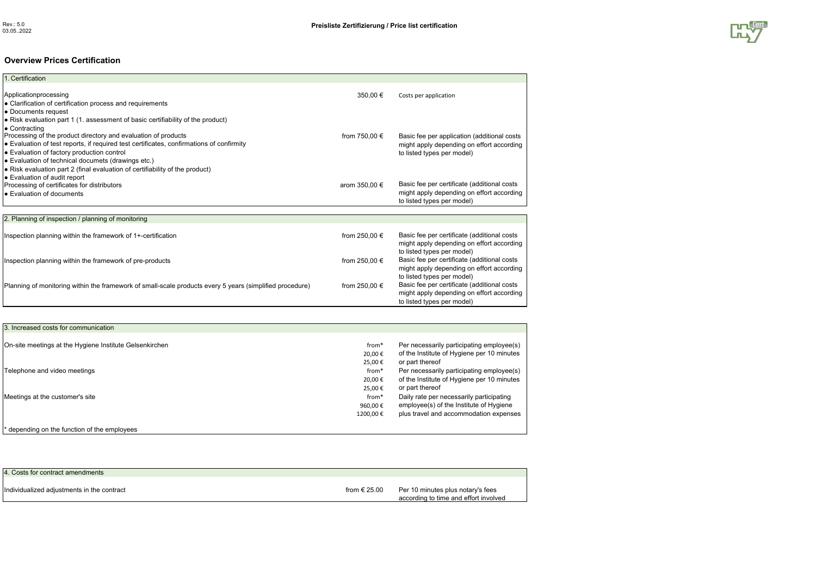

## **Overview Prices Certification**

| 1. Certification                                                                                                                                                                                                                                                                                           |                   |                                                                                                                        |
|------------------------------------------------------------------------------------------------------------------------------------------------------------------------------------------------------------------------------------------------------------------------------------------------------------|-------------------|------------------------------------------------------------------------------------------------------------------------|
| Applicationprocessing<br>• Clarification of certification process and requirements<br>• Documents request                                                                                                                                                                                                  | 350,00 €          | Costs per application                                                                                                  |
| • Risk evaluation part 1 (1. assessment of basic certifiability of the product)<br>• Contracting<br>Processing of the product directory and evaluation of products<br>Evaluation of test reports, if required test certificates, confirmations of confirmity<br>• Evaluation of factory production control | from 750,00 €     | Basic fee per application (additional costs<br>might apply depending on effort according<br>to listed types per model) |
| • Evaluation of technical documets (drawings etc.)<br>• Risk evaluation part 2 (final evaluation of certifiability of the product)<br>• Evaluation of audit report<br>Processing of certificates for distributors                                                                                          | arom 350,00 €     | Basic fee per certificate (additional costs                                                                            |
| <b>Evaluation of documents</b>                                                                                                                                                                                                                                                                             |                   | might apply depending on effort according<br>to listed types per model)                                                |
|                                                                                                                                                                                                                                                                                                            |                   |                                                                                                                        |
| 2. Planning of inspection / planning of monitoring                                                                                                                                                                                                                                                         |                   |                                                                                                                        |
| Inspection planning within the framework of 1+-certification                                                                                                                                                                                                                                               | from 250,00 $\in$ | Basic fee per certificate (additional costs<br>might apply depending on effort according<br>to listed types per model) |
| Inspection planning within the framework of pre-products                                                                                                                                                                                                                                                   | from 250,00 €     | Basic fee per certificate (additional costs<br>might apply depending on effort according<br>to listed types per model) |
| Planning of monitoring within the framework of small-scale products every 5 years (simplified procedure)                                                                                                                                                                                                   | from 250,00 $\in$ | Basic fee per certificate (additional costs<br>might apply depending on effort according<br>to listed types per model) |

| 3. Increased costs for communication                    |          |                                            |
|---------------------------------------------------------|----------|--------------------------------------------|
| On-site meetings at the Hygiene Institute Gelsenkirchen | from*    | Per necessarily participating employee(s)  |
|                                                         | 20,00€   | of the Institute of Hygiene per 10 minutes |
|                                                         | 25.00€   | or part thereof                            |
| Telephone and video meetings                            | from*    | Per necessarily participating employee(s)  |
|                                                         | 20,00€   | of the Institute of Hygiene per 10 minutes |
|                                                         | 25.00€   | or part thereof                            |
| Meetings at the customer's site                         | from*    | Daily rate per necessarily participating   |
|                                                         | 960.00€  | employee(s) of the Institute of Hygiene    |
|                                                         | 1200,00€ | plus travel and accommodation expenses     |
| * depending on the function of the employees            |          |                                            |

| 4. Costs for contract amendments           |                  |                                                                            |
|--------------------------------------------|------------------|----------------------------------------------------------------------------|
| Individualized adjustments in the contract | from $\in$ 25.00 | Per 10 minutes plus notary's fees<br>according to time and effort involved |